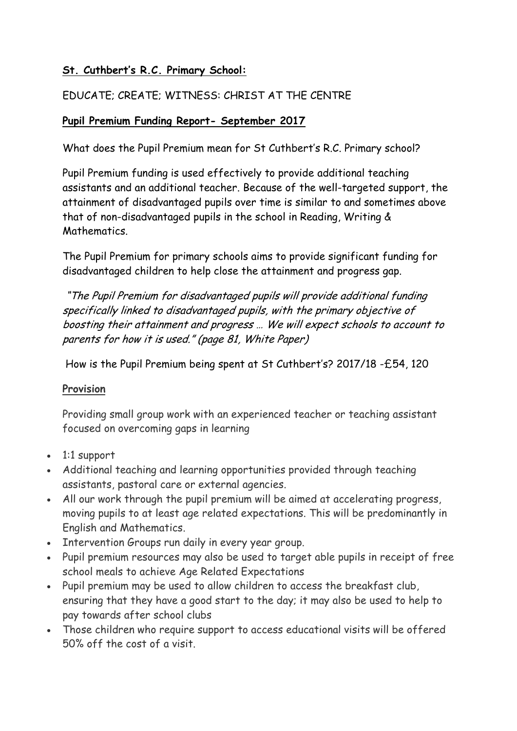### **St. Cuthbert's R.C. Primary School:**

### EDUCATE; CREATE; WITNESS: CHRIST AT THE CENTRE

#### **Pupil Premium Funding Report- September 2017**

What does the Pupil Premium mean for St Cuthbert's R.C. Primary school?

Pupil Premium funding is used effectively to provide additional teaching assistants and an additional teacher. Because of the well-targeted support, the attainment of disadvantaged pupils over time is similar to and sometimes above that of non-disadvantaged pupils in the school in Reading, Writing & **Mathematics** 

The Pupil Premium for primary schools aims to provide significant funding for disadvantaged children to help close the attainment and progress gap.

"The Pupil Premium for disadvantaged pupils will provide additional funding specifically linked to disadvantaged pupils, with the primary objective of boosting their attainment and progress … We will expect schools to account to parents for how it is used." (page 81, White Paper)

How is the Pupil Premium being spent at St Cuthbert's? 2017/18 -£54, 120

#### **Provision**

Providing small group work with an experienced teacher or teaching assistant focused on overcoming gaps in learning

- 1:1 support
- Additional teaching and learning opportunities provided through teaching assistants, pastoral care or external agencies.
- All our work through the pupil premium will be aimed at accelerating progress, moving pupils to at least age related expectations. This will be predominantly in English and Mathematics.
- Intervention Groups run daily in every year group.
- Pupil premium resources may also be used to target able pupils in receipt of free school meals to achieve Age Related Expectations
- Pupil premium may be used to allow children to access the breakfast club, ensuring that they have a good start to the day; it may also be used to help to pay towards after school clubs
- Those children who require support to access educational visits will be offered 50% off the cost of a visit.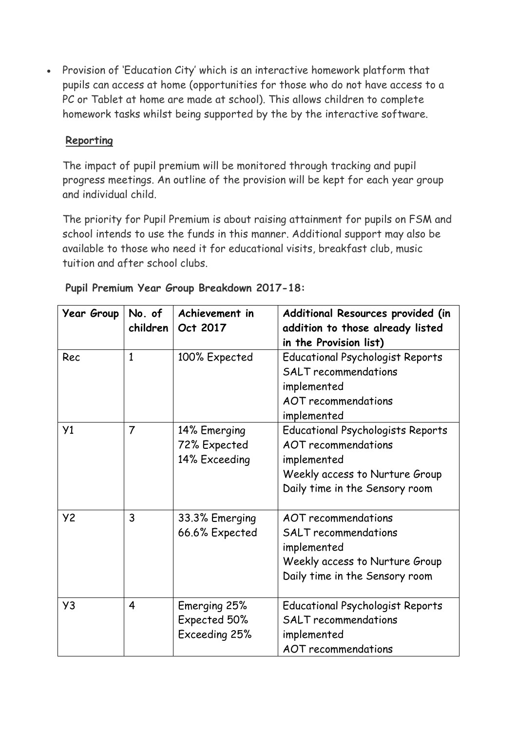Provision of 'Education City' which is an interactive homework platform that pupils can access at home (opportunities for those who do not have access to a PC or Tablet at home are made at school). This allows children to complete homework tasks whilst being supported by the by the interactive software.

#### **Reporting**

The impact of pupil premium will be monitored through tracking and pupil progress meetings. An outline of the provision will be kept for each year group and individual child.

The priority for Pupil Premium is about raising attainment for pupils on FSM and school intends to use the funds in this manner. Additional support may also be available to those who need it for educational visits, breakfast club, music tuition and after school clubs.

| <b>Year Group</b> | No. of<br>children | Achievement in<br>Oct 2017                    | Additional Resources provided (in<br>addition to those already listed<br>in the Provision list)                                                           |
|-------------------|--------------------|-----------------------------------------------|-----------------------------------------------------------------------------------------------------------------------------------------------------------|
| Rec               | $\mathbf{1}$       | 100% Expected                                 | <b>Educational Psychologist Reports</b><br><b>SALT</b> recommendations<br>implemented<br><b>AOT</b> recommendations<br>implemented                        |
| Y <sub>1</sub>    | $\overline{7}$     | 14% Emerging<br>72% Expected<br>14% Exceeding | <b>Educational Psychologists Reports</b><br><b>AOT</b> recommendations<br>implemented<br>Weekly access to Nurture Group<br>Daily time in the Sensory room |
| <b>Y2</b>         | 3                  | 33.3% Emerging<br>66.6% Expected              | AOT recommendations<br><b>SALT</b> recommendations<br>implemented<br>Weekly access to Nurture Group<br>Daily time in the Sensory room                     |
| Y3                | $\overline{4}$     | Emerging 25%<br>Expected 50%<br>Exceeding 25% | <b>Educational Psychologist Reports</b><br><b>SALT</b> recommendations<br>implemented<br><b>AOT</b> recommendations                                       |

| Pupil Premium Year Group Breakdown 2017-18: |  |  |  |  |  |  |
|---------------------------------------------|--|--|--|--|--|--|
|---------------------------------------------|--|--|--|--|--|--|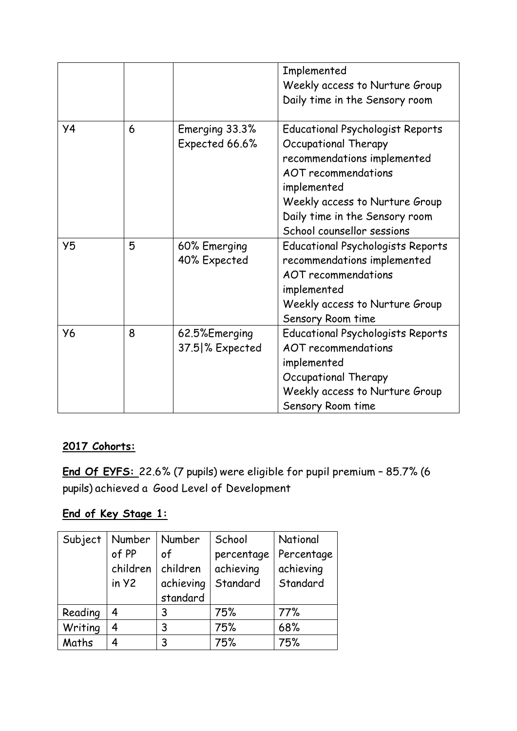|                |   |                                  | Implemented<br>Weekly access to Nurture Group<br>Daily time in the Sensory room                                                                                                                                                               |
|----------------|---|----------------------------------|-----------------------------------------------------------------------------------------------------------------------------------------------------------------------------------------------------------------------------------------------|
| <b>y4</b>      | 6 | Emerging 33.3%<br>Expected 66.6% | <b>Educational Psychologist Reports</b><br>Occupational Therapy<br>recommendations implemented<br><b>AOT</b> recommendations<br>implemented<br>Weekly access to Nurture Group<br>Daily time in the Sensory room<br>School counsellor sessions |
| Y <sub>5</sub> | 5 | 60% Emerging<br>40% Expected     | <b>Educational Psychologists Reports</b><br>recommendations implemented<br><b>AOT</b> recommendations<br>implemented<br>Weekly access to Nurture Group<br>Sensory Room time                                                                   |
| <b>Y6</b>      | 8 | 62.5%Emerging<br>37.5 % Expected | <b>Educational Psychologists Reports</b><br><b>AOT</b> recommendations<br>implemented<br>Occupational Therapy<br>Weekly access to Nurture Group<br>Sensory Room time                                                                          |

## **2017 Cohorts:**

**End Of EYFS:** 22.6% (7 pupils) were eligible for pupil premium – 85.7% (6 pupils) achieved a Good Level of Development

### **End of Key Stage 1:**

| Subject | Number   | Number    | School     | National   |
|---------|----------|-----------|------------|------------|
|         | of PP    | of        | percentage | Percentage |
|         | children | children  | achieving  | achieving  |
|         | in y2    | achieving | Standard   | Standard   |
|         |          | standard  |            |            |
| Reading | 4        | 3         | 75%        | 77%        |
| Writing | 4        | 3         | 75%        | 68%        |
| Maths   |          | 3         | 75%        | 75%        |